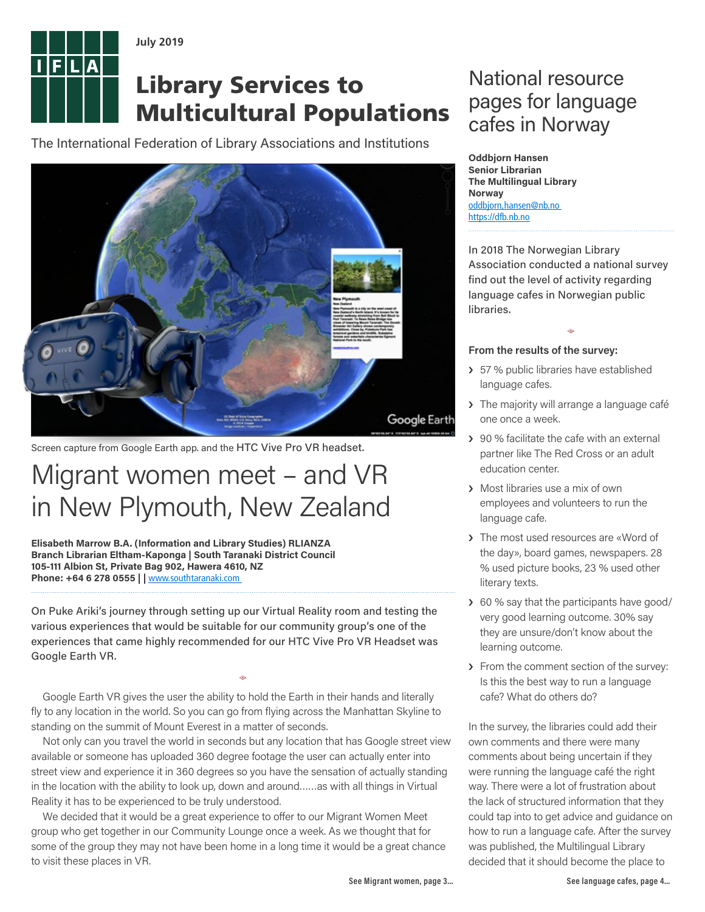

**July 2019**

# Library Services to Multicultural Populations

The International Federation of Library Associations and Institutions



Screen capture from Google Earth app. and the HTC Vive Pro VR headset.

# Migrant women meet – and VR in New Plymouth, New Zealand

**Elisabeth Marrow B.A. (Information and Library Studies) RLIANZA Branch Librarian Eltham-Kaponga | South Taranaki District Council 105-111 Albion St, Private Bag 902, Hawera 4610, NZ** Phone: +64 6 278 0555 | | [www.southtaranaki.com](http://www.southtaranaki.com/)

On Puke Ariki's journey through setting up our Virtual Reality room and testing the various experiences that would be suitable for our community group's one of the experiences that came highly recommended for our HTC Vive Pro VR Headset was Google Earth VR.

Google Earth VR gives the user the ability to hold the Earth in their hands and literally fly to any location in the world. So you can go from flying across the Manhattan Skyline to standing on the summit of Mount Everest in a matter of seconds.

=

Not only can you travel the world in seconds but any location that has Google street view available or someone has uploaded 360 degree footage the user can actually enter into street view and experience it in 360 degrees so you have the sensation of actually standing in the location with the ability to look up, down and around……as with all things in Virtual Reality it has to be experienced to be truly understood.

We decided that it would be a great experience to offer to our Migrant Women Meet group who get together in our Community Lounge once a week. As we thought that for some of the group they may not have been home in a long time it would be a great chance to visit these places in VR.

# National resource pages for language cafes in Norway

**Oddbjorn Hansen Senior Librarian The Multilingual Library Norway** oddbjorn,hansen@nb.no [https://dfb.nb.no](https://dfb.nb.no/)

In 2018 The Norwegian Library Association conducted a national survey find out the level of activity regarding language cafes in Norwegian public libraries.

 $\Leftrightarrow$ 

## **From the results of the survey:**

- > 57 % public libraries have established language cafes.
- > The majority will arrange a language café one once a week.
- › 90 % facilitate the cafe with an external partner like The Red Cross or an adult education center.
- › Most libraries use a mix of own employees and volunteers to run the language cafe.
- › The most used resources are «Word of the day», board games, newspapers. 28 % used picture books, 23 % used other literary texts.
- > 60 % say that the participants have good/ very good learning outcome. 30% say they are unsure/don't know about the learning outcome.
- › From the comment section of the survey: Is this the best way to run a language cafe? What do others do?

In the survey, the libraries could add their own comments and there were many comments about being uncertain if they were running the language café the right way. There were a lot of frustration about the lack of structured information that they could tap into to get advice and guidance on how to run a language cafe. After the survey was published, the Multilingual Library decided that it should become the place to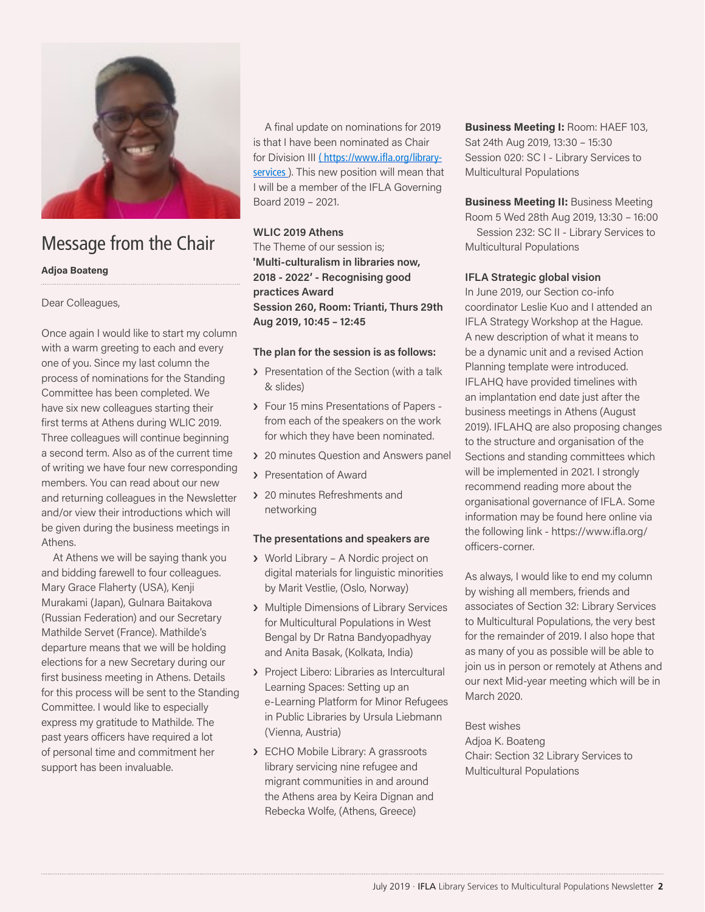

# Message from the Chair

### **Adjoa Boateng**

## Dear Colleagues,

Once again I would like to start my column with a warm greeting to each and every one of you. Since my last column the process of nominations for the Standing Committee has been completed. We have six new colleagues starting their first terms at Athens during WLIC 2019. Three colleagues will continue beginning a second term. Also as of the current time of writing we have four new corresponding members. You can read about our new and returning colleagues in the Newsletter and/or view their introductions which will be given during the business meetings in Athens.

At Athens we will be saying thank you and bidding farewell to four colleagues. Mary Grace Flaherty (USA), Kenji Murakami (Japan), Gulnara Baitakova (Russian Federation) and our Secretary Mathilde Servet (France). Mathilde's departure means that we will be holding elections for a new Secretary during our first business meeting in Athens. Details for this process will be sent to the Standing Committee. I would like to especially express my gratitude to Mathilde. The past years officers have required a lot of personal time and commitment her support has been invaluable.

A final update on nominations for 2019 is that I have been nominated as Chair for Division III (https://www.ifla.org/libraryservices ). This new position will mean that I will be a member of the IFLA Governing Board 2019 – 2021.

## **WLIC 2019 Athens**

The Theme of our session is; **'Multi-culturalism in libraries now, 2018 - 2022' - Recognising good practices Award Session 260, Room: Trianti, Thurs 29th Aug 2019, 10:45 – 12:45**

## **The plan for the session is as follows:**

- > Presentation of the Section (with a talk & slides)
- › Four 15 mins Presentations of Papers from each of the speakers on the work for which they have been nominated.
- › 20 minutes Question and Answers panel
- › Presentation of Award
- > 20 minutes Refreshments and networking

### **The presentations and speakers are**

- › World Library A Nordic project on digital materials for linguistic minorities by Marit Vestlie, (Oslo, Norway)
- › Multiple Dimensions of Library Services for Multicultural Populations in West Bengal by Dr Ratna Bandyopadhyay and Anita Basak, (Kolkata, India)
- › Project Libero: Libraries as Intercultural Learning Spaces: Setting up an e-Learning Platform for Minor Refugees in Public Libraries by Ursula Liebmann (Vienna, Austria)
- › ECHO Mobile Library: A grassroots library servicing nine refugee and migrant communities in and around the Athens area by Keira Dignan and Rebecka Wolfe, (Athens, Greece)

**Business Meeting I:** Room: HAEF 103, Sat 24th Aug 2019, 13:30 – 15:30 Session 020: SC I - Library Services to Multicultural Populations

### **Business Meeting II:** Business Meeting Room 5 Wed 28th Aug 2019, 13:30 – 16:00

Session 232: SC II - Library Services to Multicultural Populations

## **IFLA Strategic global vision**

In June 2019, our Section co-info coordinator Leslie Kuo and I attended an IFLA Strategy Workshop at the Hague. A new description of what it means to be a dynamic unit and a revised Action Planning template were introduced. IFLAHQ have provided timelines with an implantation end date just after the business meetings in Athens (August 2019). IFLAHQ are also proposing changes to the structure and organisation of the Sections and standing committees which will be implemented in 2021. I strongly recommend reading more about the organisational governance of IFLA. Some information may be found here online via the following link - https://www.ifla.org/ officers-corner.

As always, I would like to end my column by wishing all members, friends and associates of Section 32: Library Services to Multicultural Populations, the very best for the remainder of 2019. I also hope that as many of you as possible will be able to join us in person or remotely at Athens and our next Mid-year meeting which will be in March 2020.

Best wishes Adjoa K. Boateng Chair: Section 32 Library Services to Multicultural Populations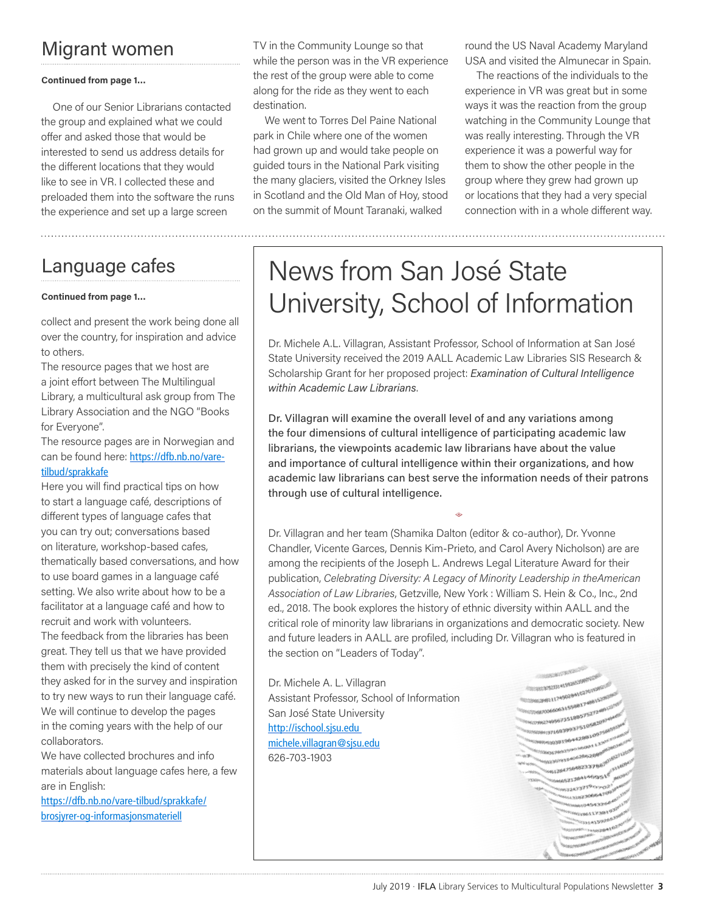# Migrant women

### **Continued from page 1…**

One of our Senior Librarians contacted the group and explained what we could offer and asked those that would be interested to send us address details for the different locations that they would like to see in VR. I collected these and preloaded them into the software the runs the experience and set up a large screen

# Language cafes

#### **Continued from page 1…**

collect and present the work being done all over the country, for inspiration and advice to others.

The resource pages that we host are a joint effort between The Multilingual Library, a multicultural ask group from The Library Association and the NGO "Books for Everyone".

The resource pages are in Norwegian and can be found here: [https://dfb.nb.no/vare](https://dfb.nb.no/vare-tilbud/sprakkafe)[tilbud/sprakkafe](https://dfb.nb.no/vare-tilbud/sprakkafe)

Here you will find practical tips on how to start a language café, descriptions of different types of language cafes that you can try out; conversations based on literature, workshop-based cafes, thematically based conversations, and how to use board games in a language café setting. We also write about how to be a facilitator at a language café and how to recruit and work with volunteers. The feedback from the libraries has been great. They tell us that we have provided them with precisely the kind of content they asked for in the survey and inspiration to try new ways to run their language café. We will continue to develop the pages in the coming years with the help of our collaborators.

We have collected brochures and info materials about language cafes here, a few are in English:

[https://dfb.nb.no/vare-tilbud/sprakkafe/](https://dfb.nb.no/vare-tilbud/sprakkafe/brosjyrer-og-informasjonsmateriell) [brosjyrer-og-informasjonsmateriell](https://dfb.nb.no/vare-tilbud/sprakkafe/brosjyrer-og-informasjonsmateriell)

TV in the Community Lounge so that while the person was in the VR experience the rest of the group were able to come along for the ride as they went to each destination.

We went to Torres Del Paine National park in Chile where one of the women had grown up and would take people on guided tours in the National Park visiting the many glaciers, visited the Orkney Isles in Scotland and the Old Man of Hoy, stood on the summit of Mount Taranaki, walked

round the US Naval Academy Maryland USA and visited the Almunecar in Spain.

The reactions of the individuals to the experience in VR was great but in some ways it was the reaction from the group watching in the Community Lounge that was really interesting. Through the VR experience it was a powerful way for them to show the other people in the group where they grew had grown up or locations that they had a very special connection with in a whole different way.

# News from San José State University, School of Information

Dr. Michele A.L. Villagran, Assistant Professor, School of Information at San José State University received the 2019 AALL Academic Law Libraries SIS Research & Scholarship Grant for her proposed project: *Examination of Cultural Intelligence within Academic Law Librarians*.

Dr. Villagran will examine the overall level of and any variations among the four dimensions of cultural intelligence of participating academic law librarians, the viewpoints academic law librarians have about the value and importance of cultural intelligence within their organizations, and how academic law librarians can best serve the information needs of their patrons through use of cultural intelligence.

 $\Leftrightarrow$ 

Dr. Villagran and her team (Shamika Dalton (editor & co-author), Dr. Yvonne Chandler, Vicente Garces, Dennis Kim-Prieto, and Carol Avery Nicholson) are are among the recipients of the [Joseph L. Andrews Legal Literature Award](https://www.aallnet.org/community/recognition/awards-program/joseph-l-andrews-legal-literature-award/) for their publication, *[Celebrating Diversity: A Legacy of Minority Leadership in theAmerican](https://www.wshein.com/blog/2018/09/20/celebrating-diversity-a-legacy-of-minority-leadership-in-the-american-association-of-law-libraries-second-edition/)  [Association of Law](https://www.wshein.com/blog/2018/09/20/celebrating-diversity-a-legacy-of-minority-leadership-in-the-american-association-of-law-libraries-second-edition/) Libraries*, Getzville, New York : William S. Hein & Co., Inc., 2nd ed., 2018. The book explores the history of ethnic diversity within AALL and the critical role of minority law librarians in organizations and democratic society. New and future leaders in AALL are profiled, including Dr. Villagran who is featured in the section on "Leaders of Today".

Dr. Michele A. L. Villagran Assistant Professor, School of Information San José State University <http://ischool.sjsu.edu> [michele.villagran@sjsu.edu](mailto:michele.villagran@sjsu.edu) 626-703-1903

 $11466661^{6}$  $324737190902$ فحديب 10611738107 13314159265  $-11$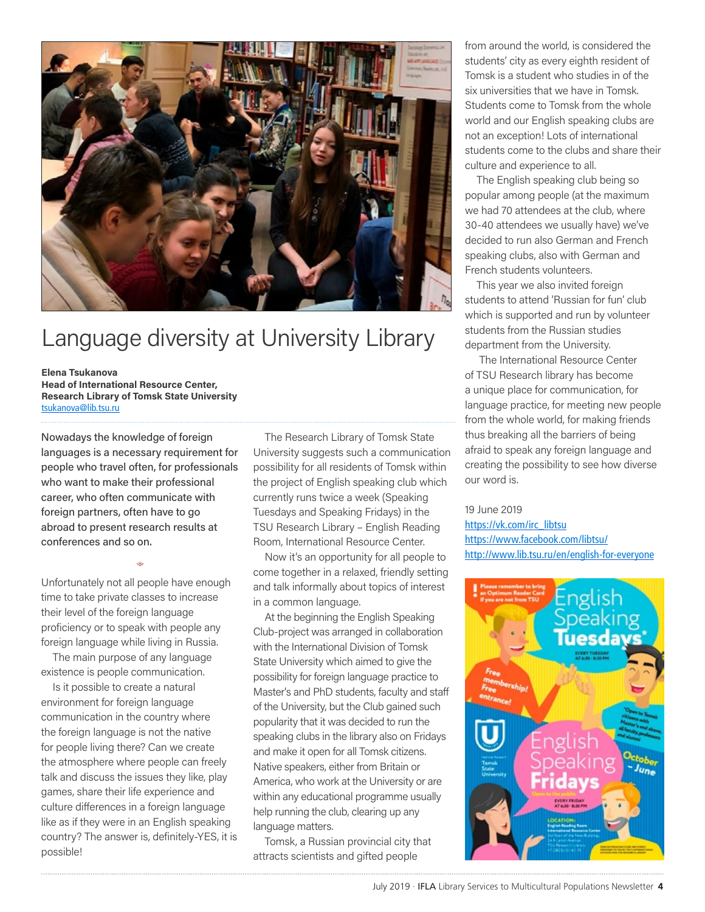

# Language diversity at University Library

#### **Elena Tsukanova**

**Head of International Resource Center, Research Library of Tomsk State University** tsukanova@lib.tsu.ru

Nowadays the knowledge of foreign languages is a necessary requirement for people who travel often, for professionals who want to make their professional career, who often communicate with foreign partners, often have to go abroad to present research results at conferences and so on.

Unfortunately not all people have enough time to take private classes to increase their level of the foreign language proficiency or to speak with people any foreign language while living in Russia.

 $\Leftrightarrow$ 

The main purpose of any language existence is people communication.

Is it possible to create a natural environment for foreign language communication in the country where the foreign language is not the native for people living there? Can we create the atmosphere where people can freely talk and discuss the issues they like, play games, share their life experience and culture differences in a foreign language like as if they were in an English speaking country? The answer is, definitely-YES, it is possible!

The Research Library of Tomsk State University suggests such a communication possibility for all residents of Tomsk within the project of English speaking club which currently runs twice a week (Speaking Tuesdays and Speaking Fridays) in the TSU Research Library – English Reading Room, International Resource Center.

Now it's an opportunity for all people to come together in a relaxed, friendly setting and talk informally about topics of interest in a common language.

At the beginning the English Speaking Club-project was arranged in collaboration with the International Division of Tomsk State University which aimed to give the possibility for foreign language practice to Master's and PhD students, faculty and staff of the University, but the Club gained such popularity that it was decided to run the speaking clubs in the library also on Fridays and make it open for all Tomsk citizens. Native speakers, either from Britain or America, who work at the University or are within any educational programme usually help running the club, clearing up any language matters.

Tomsk, a Russian provincial city that attracts scientists and gifted people

from around the world, is considered the students' city as every eighth resident of Tomsk is a student who studies in of the six universities that we have in Tomsk. Students come to Tomsk from the whole world and our English speaking clubs are not an exception! Lots of international students come to the clubs and share their culture and experience to all.

The English speaking club being so popular among people (at the maximum we had 70 attendees at the club, where 30-40 attendees we usually have) we've decided to run also German and French speaking clubs, also with German and French students volunteers.

This year we also invited foreign students to attend 'Russian for fun' club which is supported and run by volunteer students from the Russian studies department from the University.

 The International Resource Center of TSU Research library has become a unique place for communication, for language practice, for meeting new people from the whole world, for making friends thus breaking all the barriers of being afraid to speak any foreign language and creating the possibility to see how diverse our word is.

#### 19 June 2019

[https://vk.com/irc\\_libtsu](https://vk.com/irc_libtsu) <https://www.facebook.com/libtsu/> <http://www.lib.tsu.ru/en/english-for-everyone>

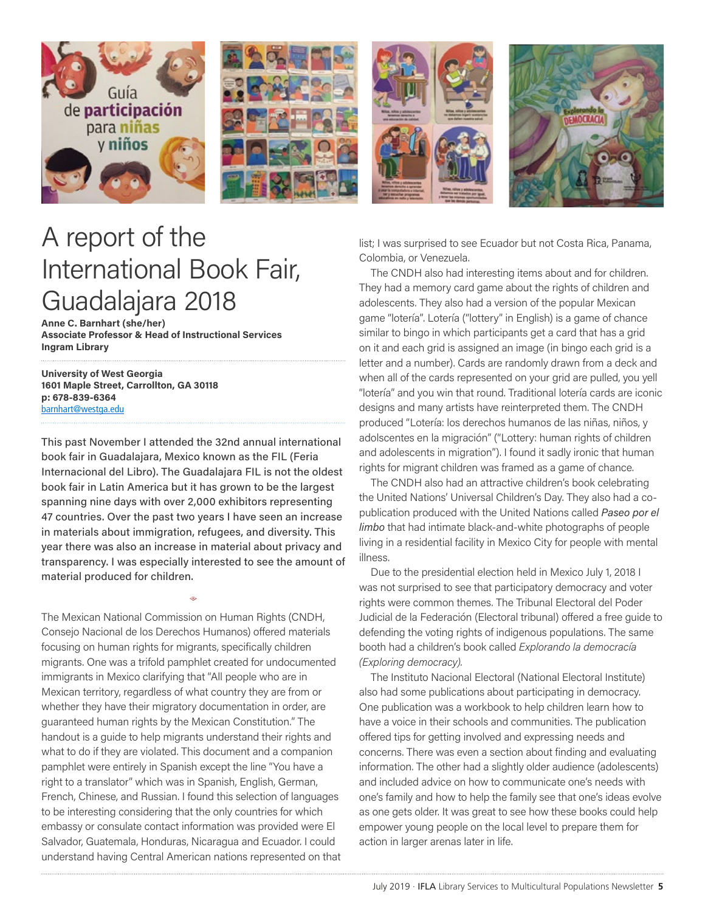

# A report of the International Book Fair, Guadalajara 2018

**Anne C. Barnhart (she/her) Associate Professor & Head of Instructional Services Ingram Library**

**University of West Georgia 1601 Maple Street, Carrollton, GA 30118 p: 678-839-6364** [barnhart@westga.edu](mailto:barnhart@westga.edu)

This past November I attended the 32nd annual international book fair in Guadalajara, Mexico known as the FIL (Feria Internacional del Libro). The Guadalajara FIL is not the oldest book fair in Latin America but it has grown to be the largest spanning nine days with over 2,000 exhibitors representing 47 countries. Over the past two years I have seen an increase in materials about immigration, refugees, and diversity. This year there was also an increase in material about privacy and transparency. I was especially interested to see the amount of material produced for children.

=

The Mexican National Commission on Human Rights (CNDH, Consejo Nacional de los Derechos Humanos) offered materials focusing on human rights for migrants, specifically children migrants. One was a trifold pamphlet created for undocumented immigrants in Mexico clarifying that "All people who are in Mexican territory, regardless of what country they are from or whether they have their migratory documentation in order, are guaranteed human rights by the Mexican Constitution." The handout is a guide to help migrants understand their rights and what to do if they are violated. This document and a companion pamphlet were entirely in Spanish except the line "You have a right to a translator" which was in Spanish, English, German, French, Chinese, and Russian. I found this selection of languages to be interesting considering that the only countries for which embassy or consulate contact information was provided were El Salvador, Guatemala, Honduras, Nicaragua and Ecuador. I could understand having Central American nations represented on that list; I was surprised to see Ecuador but not Costa Rica, Panama, Colombia, or Venezuela.

The CNDH also had interesting items about and for children. They had a memory card game about the rights of children and adolescents. They also had a version of the popular Mexican game "lotería". Lotería ("lottery" in English) is a game of chance similar to bingo in which participants get a card that has a grid on it and each grid is assigned an image (in bingo each grid is a letter and a number). Cards are randomly drawn from a deck and when all of the cards represented on your grid are pulled, you yell "lotería" and you win that round. Traditional lotería cards are iconic designs and many artists have reinterpreted them. The CNDH produced "Lotería: los derechos humanos de las niñas, niños, y adolscentes en la migración" ("Lottery: human rights of children and adolescents in migration"). I found it sadly ironic that human rights for migrant children was framed as a game of chance.

The CNDH also had an attractive children's book celebrating the United Nations' Universal Children's Day. They also had a copublication produced with the United Nations called *Paseo por el limbo* that had intimate black-and-white photographs of people living in a residential facility in Mexico City for people with mental illness.

Due to the presidential election held in Mexico July 1, 2018 I was not surprised to see that participatory democracy and voter rights were common themes. The Tribunal Electoral del Poder Judicial de la Federación (Electoral tribunal) offered a free guide to defending the voting rights of indigenous populations. The same booth had a children's book called *Explorando la democracía (Exploring democracy).* 

The Instituto Nacional Electoral (National Electoral Institute) also had some publications about participating in democracy. One publication was a workbook to help children learn how to have a voice in their schools and communities. The publication offered tips for getting involved and expressing needs and concerns. There was even a section about finding and evaluating information. The other had a slightly older audience (adolescents) and included advice on how to communicate one's needs with one's family and how to help the family see that one's ideas evolve as one gets older. It was great to see how these books could help empower young people on the local level to prepare them for action in larger arenas later in life.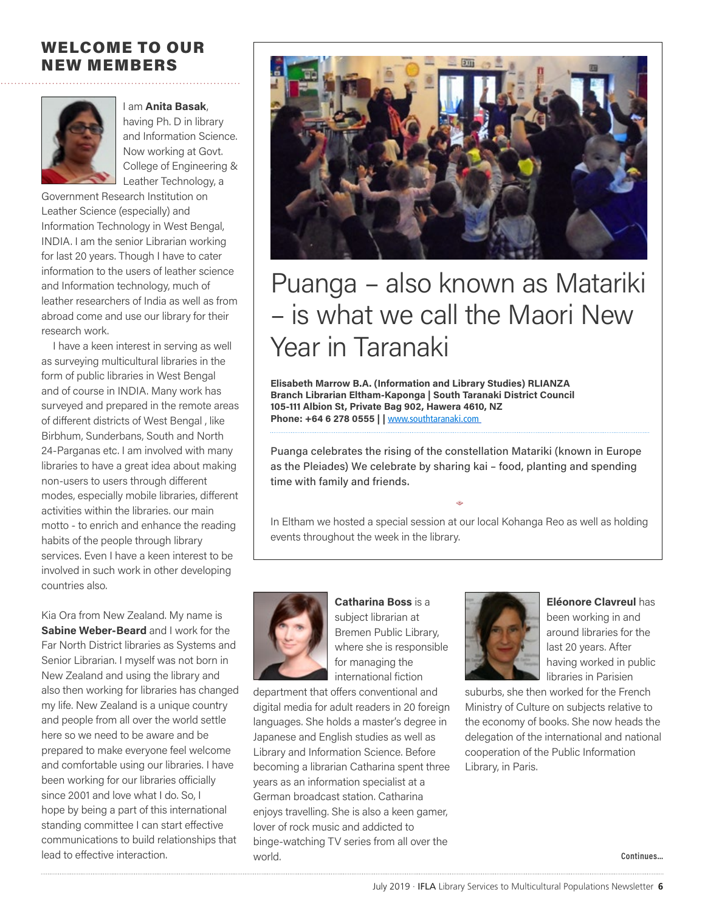# WELCOME TO OUR NEW MEMBERS



I am **Anita Basak**, having Ph. D in library and Information Science. Now working at Govt. College of Engineering & Leather Technology, a

Government Research Institution on Leather Science (especially) and Information Technology in West Bengal, INDIA. I am the senior Librarian working for last 20 years. Though I have to cater information to the users of leather science and Information technology, much of leather researchers of India as well as from abroad come and use our library for their research work.

I have a keen interest in serving as well as surveying multicultural libraries in the form of public libraries in West Bengal and of course in INDIA. Many work has surveyed and prepared in the remote areas of different districts of West Bengal , like Birbhum, Sunderbans, South and North 24-Parganas etc. I am involved with many libraries to have a great idea about making non-users to users through different modes, especially mobile libraries, different activities within the libraries. our main motto - to enrich and enhance the reading habits of the people through library services. Even I have a keen interest to be involved in such work in other developing countries also.

Kia Ora from New Zealand. My name is **Sabine Weber-Beard** and I work for the Far North District libraries as Systems and Senior Librarian. I myself was not born in New Zealand and using the library and also then working for libraries has changed my life. New Zealand is a unique country and people from all over the world settle here so we need to be aware and be prepared to make everyone feel welcome and comfortable using our libraries. I have been working for our libraries officially since 2001 and love what I do. So, I hope by being a part of this international standing committee I can start effective communications to build relationships that lead to effective interaction.



# Puanga – also known as Matariki – is what we call the Maori New Year in Taranaki

**Elisabeth Marrow B.A. (Information and Library Studies) RLIANZA Branch Librarian Eltham-Kaponga | South Taranaki District Council 105-111 Albion St, Private Bag 902, Hawera 4610, NZ Phone: +64 6 278 0555 | |** [www.southtaranaki.com](http://www.southtaranaki.com/)

Puanga celebrates the rising of the constellation Matariki (known in Europe as the Pleiades) We celebrate by sharing kai – food, planting and spending time with family and friends.

In Eltham we hosted a special session at our local Kohanga Reo as well as holding events throughout the week in the library.

 $\Leftrightarrow$ 



**Catharina Boss** is a subject librarian at Bremen Public Library, where she is responsible for managing the international fiction

department that offers conventional and digital media for adult readers in 20 foreign languages. She holds a master's degree in Japanese and English studies as well as Library and Information Science. Before becoming a librarian Catharina spent three years as an information specialist at a German broadcast station. Catharina enjoys travelling. She is also a keen gamer, lover of rock music and addicted to binge-watching TV series from all over the world.



**Eléonore Clavreul** has been working in and around libraries for the last 20 years. After having worked in public libraries in Parisien

suburbs, she then worked for the French Ministry of Culture on subjects relative to the economy of books. She now heads the delegation of the international and national cooperation of the Public Information Library, in Paris.

**Continues…**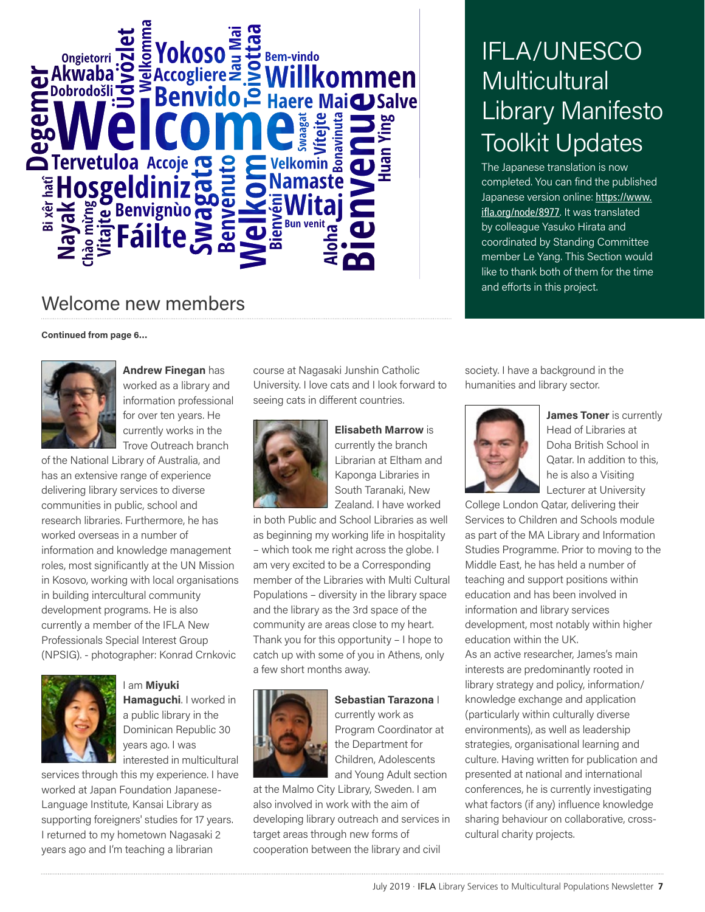

# Welcome new members

**Continued from page 6…**



**Andrew Finegan** has worked as a library and information professional for over ten years. He currently works in the Trove Outreach branch

of the National Library of Australia, and has an extensive range of experience delivering library services to diverse communities in public, school and research libraries. Furthermore, he has worked overseas in a number of information and knowledge management roles, most significantly at the UN Mission in Kosovo, working with local organisations in building intercultural community development programs. He is also currently a member of the IFLA New Professionals Special Interest Group (NPSIG). - photographer: Konrad Crnkovic



I am **Miyuki Hamaguchi**. I worked in a public library in the Dominican Republic 30 years ago. I was interested in multicultural

services through this my experience. I have worked at Japan Foundation Japanese-Language Institute, Kansai Library as supporting foreigners' studies for 17 years. I returned to my hometown Nagasaki 2 years ago and I'm teaching a librarian

course at Nagasaki Junshin Catholic University. I love cats and I look forward to seeing cats in different countries.



**Elisabeth Marrow** is currently the branch Librarian at Eltham and Kaponga Libraries in South Taranaki, New Zealand. I have worked

in both Public and School Libraries as well as beginning my working life in hospitality – which took me right across the globe. I am very excited to be a Corresponding member of the Libraries with Multi Cultural Populations – diversity in the library space and the library as the 3rd space of the community are areas close to my heart. Thank you for this opportunity – I hope to catch up with some of you in Athens, only a few short months away.



**Sebastian Tarazona** I currently work as Program Coordinator at the Department for Children, Adolescents and Young Adult section

at the Malmo City Library, Sweden. I am also involved in work with the aim of developing library outreach and services in target areas through new forms of cooperation between the library and civil

IFLA/UNESCO **Multicultural** Library Manifesto Toolkit Updates

The Japanese translation is now completed. You can find the published Japanese version online: [https://www.](https://www.ifla.org/node/8977) [ifla.org/node/8977](https://www.ifla.org/node/8977)[.](https://www.ifla.org/node/8977) It was translated by colleague Yasuko Hirata and coordinated by Standing Committee member Le Yang. This Section would like to thank both of them for the time and efforts in this project.

society. I have a background in the humanities and library sector.



**James Toner** is currently Head of Libraries at Doha British School in Qatar. In addition to this, he is also a Visiting Lecturer at University

College London Qatar, delivering their Services to Children and Schools module as part of the MA Library and Information Studies Programme. Prior to moving to the Middle East, he has held a number of teaching and support positions within education and has been involved in information and library services development, most notably within higher education within the UK. As an active researcher, James's main interests are predominantly rooted in library strategy and policy, information/ knowledge exchange and application (particularly within culturally diverse environments), as well as leadership strategies, organisational learning and culture. Having written for publication and presented at national and international conferences, he is currently investigating what factors (if any) influence knowledge sharing behaviour on collaborative, crosscultural charity projects.